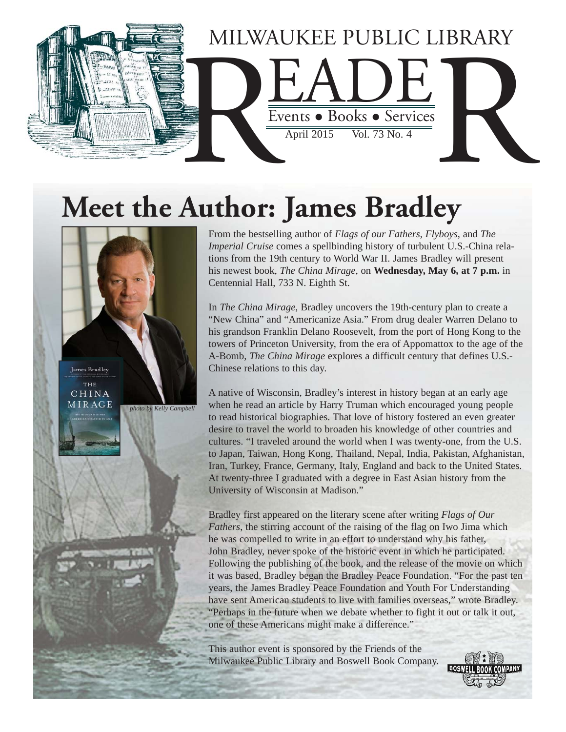

# **Meet the Author: James Bradley**



From the bestselling author of *Flags of our Fathers*, *Flyboys*, and *The Imperial Cruise* comes a spellbinding history of turbulent U.S.-China relations from the 19th century to World War II. James Bradley will present his newest book, *The China Mirage*, on **Wednesday, May 6, at 7 p.m.** in Centennial Hall, 733 N. Eighth St.

In *The China Mirage*, Bradley uncovers the 19th-century plan to create a "New China" and "Americanize Asia." From drug dealer Warren Delano to his grandson Franklin Delano Roosevelt, from the port of Hong Kong to the towers of Princeton University, from the era of Appomattox to the age of the A-Bomb, *The China Mirage* explores a difficult century that defines U.S.- Chinese relations to this day.

A native of Wisconsin, Bradley's interest in history began at an early age when he read an article by Harry Truman which encouraged young people to read historical biographies. That love of history fostered an even greater desire to travel the world to broaden his knowledge of other countries and cultures. "I traveled around the world when I was twenty-one, from the U.S. to Japan, Taiwan, Hong Kong, Thailand, Nepal, India, Pakistan, Afghanistan, Iran, Turkey, France, Germany, Italy, England and back to the United States. At twenty-three I graduated with a degree in East Asian history from the University of Wisconsin at Madison."

Bradley first appeared on the literary scene after writing *Flags of Our Fathers*, the stirring account of the raising of the flag on Iwo Jima which he was compelled to write in an effort to understand why his father, John Bradley, never spoke of the historic event in which he participated. Following the publishing of the book, and the release of the movie on which it was based, Bradley began the Bradley Peace Foundation. "For the past ten years, the James Bradley Peace Foundation and Youth For Understanding have sent American students to live with families overseas," wrote Bradley. "Perhaps in the future when we debate whether to fight it out or talk it out, one of these Americans might make a difference."

This author event is sponsored by the Friends of the Milwaukee Public Library and Boswell Book Company.

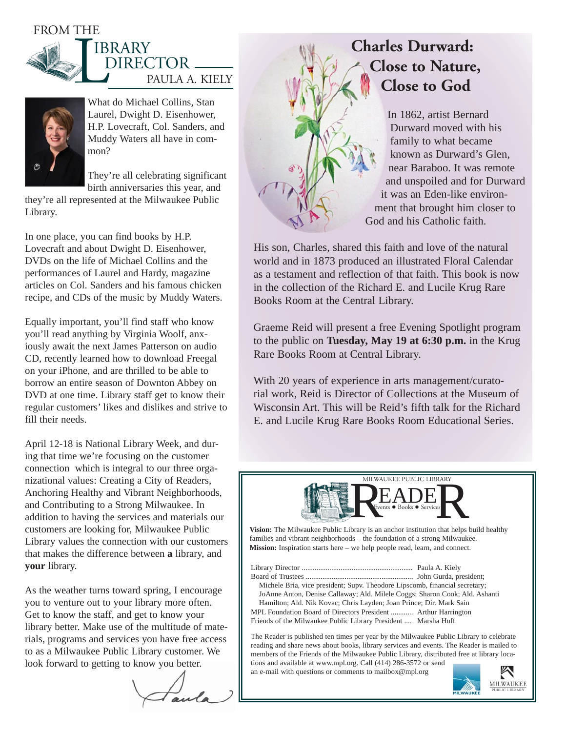### FROM THE





What do Michael Collins, Stan Laurel, Dwight D. Eisenhower, H.P. Lovecraft, Col. Sanders, and Muddy Waters all have in common?

They're all celebrating significant birth anniversaries this year, and

they're all represented at the Milwaukee Public Library.

In one place, you can find books by H.P. Lovecraft and about Dwight D. Eisenhower, DVDs on the life of Michael Collins and the performances of Laurel and Hardy, magazine articles on Col. Sanders and his famous chicken recipe, and CDs of the music by Muddy Waters.

Equally important, you'll find staff who know you'll read anything by Virginia Woolf, anxiously await the next James Patterson on audio CD, recently learned how to download Freegal on your iPhone, and are thrilled to be able to borrow an entire season of Downton Abbey on DVD at one time. Library staff get to know their regular customers' likes and dislikes and strive to fill their needs.

April 12-18 is National Library Week, and during that time we're focusing on the customer connection which is integral to our three organizational values: Creating a City of Readers, Anchoring Healthy and Vibrant Neighborhoods, and Contributing to a Strong Milwaukee. In addition to having the services and materials our customers are looking for, Milwaukee Public Library values the connection with our customers that makes the difference between **a** library, and **your** library.

As the weather turns toward spring, I encourage you to venture out to your library more often. Get to know the staff, and get to know your library better. Make use of the multitude of materials, programs and services you have free access to as a Milwaukee Public Library customer. We look forward to getting to know you better.

# **Charles Durward: Close to Nature, Close to God**

In 1862, artist Bernard Durward moved with his family to what became known as Durward's Glen, near Baraboo. It was remote and unspoiled and for Durward it was an Eden-like environment that brought him closer to God and his Catholic faith.

His son, Charles, shared this faith and love of the natural world and in 1873 produced an illustrated Floral Calendar as a testament and reflection of that faith. This book is now in the collection of the Richard E. and Lucile Krug Rare Books Room at the Central Library.

Graeme Reid will present a free Evening Spotlight program to the public on **Tuesday, May 19 at 6:30 p.m.** in the Krug Rare Books Room at Central Library.

With 20 years of experience in arts management/curatorial work, Reid is Director of Collections at the Museum of Wisconsin Art. This will be Reid's fifth talk for the Richard E. and Lucile Krug Rare Books Room Educational Series.



**Vision:** The Milwaukee Public Library is an anchor institution that helps build healthy families and vibrant neighborhoods – the foundation of a strong Milwaukee. **Mission:** Inspiration starts here – we help people read, learn, and connect.

Library Director ............................................................ Paula A. Kiely Board of Trustees .......................................................... John Gurda, president; Michele Bria, vice president; Supv. Theodore Lipscomb, financial secretary; JoAnne Anton, Denise Callaway; Ald. Milele Coggs; Sharon Cook; Ald. Ashanti Hamilton; Ald. Nik Kovac; Chris Layden; Joan Prince; Dir. Mark Sain MPL Foundation Board of Directors President ............ Arthur Harrington Friends of the Milwaukee Public Library President .... Marsha Huff

The Reader is published ten times per year by the Milwaukee Public Library to celebrate reading and share news about books, library services and events. The Reader is mailed to members of the Friends of the Milwaukee Public Library, distributed free at library locations and available at www.mpl.org. Call (414) 286-3572 or send

an e-mail with questions or comments to mailbox@mpl.org

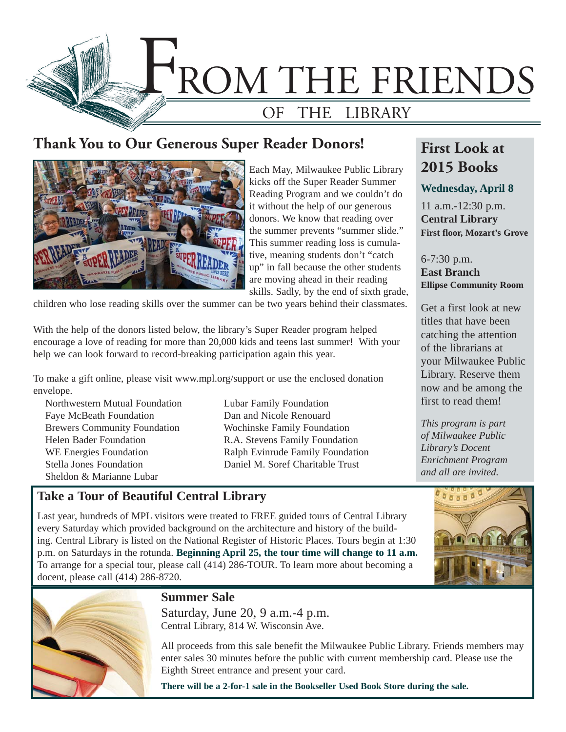

### **Thank You to Our Generous Super Reader Donors!**



Each May, Milwaukee Public Library kicks off the Super Reader Summer Reading Program and we couldn't do it without the help of our generous donors. We know that reading over the summer prevents "summer slide." This summer reading loss is cumulative, meaning students don't "catch up" in fall because the other students are moving ahead in their reading skills. Sadly, by the end of sixth grade,

children who lose reading skills over the summer can be two years behind their classmates.

With the help of the donors listed below, the library's Super Reader program helped encourage a love of reading for more than 20,000 kids and teens last summer! With your help we can look forward to record-breaking participation again this year.

To make a gift online, please visit www.mpl.org/support or use the enclosed donation envelope.

Northwestern Mutual Foundation Faye McBeath Foundation Brewers Community Foundation Helen Bader Foundation WE Energies Foundation Stella Jones Foundation Sheldon & Marianne Lubar

Lubar Family Foundation Dan and Nicole Renouard Wochinske Family Foundation R.A. Stevens Family Foundation Ralph Evinrude Family Foundation Daniel M. Soref Charitable Trust

## **First Look at 2015 Books**

#### **Wednesday, April 8**

11 a.m.-12:30 p.m. **Central Library First floor, Mozart's Grove**

6-7:30 p.m. **East Branch Ellipse Community Room**

Get a first look at new titles that have been catching the attention of the librarians at your Milwaukee Public Library. Reserve them now and be among the first to read them!

*This program is part of Milwaukee Public Library's Docent Enrichment Program and all are invited.*

#### **Take a Tour of Beautiful Central Library**

Last year, hundreds of MPL visitors were treated to FREE guided tours of Central Library every Saturday which provided background on the architecture and history of the building. Central Library is listed on the National Register of Historic Places. Tours begin at 1:30 p.m. on Saturdays in the rotunda. **Beginning April 25, the tour time will change to 11 a.m.**  To arrange for a special tour, please call (414) 286-TOUR. To learn more about becoming a docent, please call (414) 286-8720.





#### **Summer Sale**

Saturday, June 20, 9 a.m.-4 p.m. Central Library, 814 W. Wisconsin Ave.

All proceeds from this sale benefit the Milwaukee Public Library. Friends members may enter sales 30 minutes before the public with current membership card. Please use the Eighth Street entrance and present your card.

**There will be a 2-for-1 sale in the Bookseller Used Book Store during the sale.**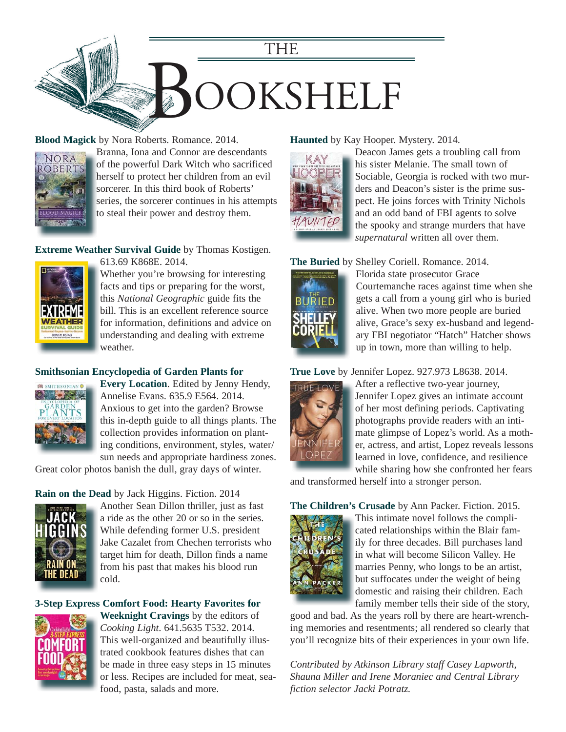

#### **Blood Magick** by Nora Roberts. Romance. 2014.



Branna, Iona and Connor are descendants B of the powerful Dark Witch who sacrificed herself to protect her children from an evil h sorcerer. In this third book of Roberts' series, the sorcerer continues in his attempts to steal their power and destroy them.

#### **Extreme Weather Survival Guide** by Thomas Kostigen. 613.69 K868E. 2014.



Whether you're browsing for interesting facts and tips or preparing for the worst, this *National Geographic* guide fits the bill. This is an excellent reference source [for information, definitions and advice on](https://encore.mcfls.org/iii/encore/record/C__Rb3781975)  understanding and dealing with extreme weather.

#### **Smithsonian Encyclopedia of Garden Plants for**



**Every Location**. Edited by Jenny Hendy, Annelise Evans. 635.9 E564. 2014. Anxious to get into the garden? Browse this in-depth guide to all things plants. The collection provides information on planting conditions, environment, styles, water/ sun needs and appropriate hardiness zones.

[Great color photos banish the dull, gray days of winter.](https://encore.mcfls.org/iii/encore/record/C__Rb3771481)

#### **Rain on the Dead** by Jack Higgins. Fiction. 2014



Another Sean Dillon thriller, just as fast a ride as the other 20 or so in the series. While defending former U.S. president [Jake Cazalet from Chechen terrorists who](https://encore.mcfls.org/iii/encore/record/C__Rb3771717)  target him for death, Dillon finds a name from his past that makes his blood run cold.

#### **[3-Step Express Comfort Food: Hearty Favorites for](https://encore.mcfls.org/iii/encore/record/C__Rb3766429)**



**Weeknight Cravings** by the editors of *Cooking Light*. 641.5635 T532. 2014. This well-organized and beautifully illustrated cookbook features dishes that can be made in three easy steps in 15 minutes or less. Recipes are included for meat, seafood, pasta, salads and more.

#### **Haunted** by Kay Hooper. Mystery. 2014.



Deacon James gets a troubling call from his sister Melanie. The small town of [Sociable, Georgia is rocked with two mur](https://encore.mcfls.org/iii/encore/record/C__Rb3764490)ders and Deacon's sister is the prime suspect. He joins forces with Trinity Nichols and an odd band of FBI agents to solve the spooky and strange murders that have *supernatural* written all over them.

#### **The Buried** by Shelley Coriell. Romance. 2014.



Florida state prosecutor Grace [Courtemanche races against time when she](https://encore.mcfls.org/iii/encore/record/C__Rb3778911)  gets a call from a young girl who is buried alive. When two more people are buried alive, Grace's sexy ex-husband and legendary FBI negotiator "Hatch" Hatcher shows up in town, more than willing to help.

#### **True Love** by Jennifer Lopez. 927.973 L8638. 2014.



After a reflective two-year journey, Jennifer Lopez gives an intimate account of her most defining periods. Captivating photographs provide readers with an intimate glimpse of Lopez's world. As a mother, actress, and artist, Lopez reveals lessons learned in love, confidence, and resilience while sharing how she confronted her fears

[and transformed herself into a stronger person.](https://encore.mcfls.org/iii/encore/record/C__Rb3772290)

#### **The Children's Crusade** by Ann Packer. Fiction. 2015.



This intimate novel follows the complicated relationships within the Blair family for three decades. Bill purchases land in what will become Silicon Valley. He marries Penny, who longs to be an artist, but suffocates under the weight of being domestic and raising their children. Each family member tells their side of the story,

good and bad. As the years roll by there are heart-wrench[ing memories and resentments; all rendered so clearly that](https://encore.mcfls.org/iii/encore/record/C__Rb3797485)  you'll recognize bits of their experiences in your own life.

*Contributed by Atkinson Library staff Casey Lapworth, Shauna Miller and Irene Moraniec and Central Library fiction selector Jacki Potratz.*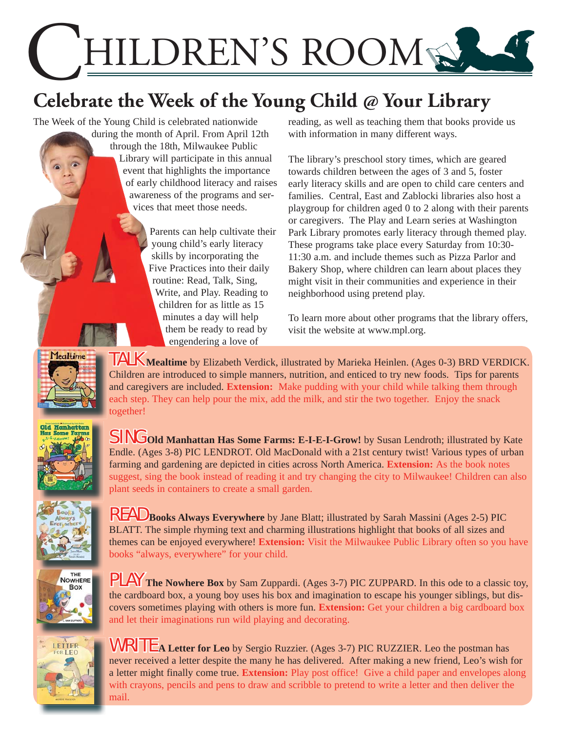

# **Celebrate the Week of the Young Child @ Your Library**

The Week of the Young Child is celebrated nationwide

during the month of April. From April 12th through the 18th, Milwaukee Public Library will participate in this annual event that highlights the importance of early childhood literacy and raises awareness of the programs and services that meet those needs.

> Parents can help cultivate their young child's early literacy skills by incorporating the Five Practices into their daily routine: Read, Talk, Sing, Write, and Play. Reading to children for as little as 15 minutes a day will help them be ready to read by engendering a love of

reading, as well as teaching them that books provide us with information in many different ways.

The library's preschool story times, which are geared towards children between the ages of 3 and 5, foster early literacy skills and are open to child care centers and families. Central, East and Zablocki libraries also host a playgroup for children aged 0 to 2 along with their parents or caregivers. The Play and Learn series at Washington Park Library promotes early literacy through themed play. These programs take place every Saturday from 10:30- 11:30 a.m. and include themes such as Pizza Parlor and Bakery Shop, where children can learn about places they might visit in their communities and experience in their neighborhood using pretend play.

To learn more about other programs that the library offers, visit the website at www.mpl.org.



TALK **Mealtime** by Elizabeth Verdick, illustrated by Marieka Heinlen. (Ages 0-3) BRD VERDICK. Children are introduced to simple manners, nutrition, and enticed to try new foods. Tips for parents and caregivers are included. **Extension:** Make pudding with your child while talking them through each step. They can help pour the mix, add the milk, and stir the two together. Enjoy the snack together!



SING **Old Manhattan Has Some Farms: E-I-E-I-Grow!** by Susan Lendroth; illustrated by Kate Endle. (Ages 3-8) PIC LENDROT. Old MacDonald with a 21st century twist! Various types of urban farming and gardening are depicted in cities across North America. **Extension:** As the book notes suggest, sing the book instead of reading it and try changing the city to Milwaukee! Children can also plant seeds in containers to create a small garden.



READ **Books Always Everywhere** by Jane Blatt; illustrated by Sarah Massini (Ages 2-5) PIC BLATT. The simple rhyming text and charming illustrations highlight that books of all sizes and themes can be enjoyed everywhere! **Extension:** Visit the Milwaukee Public Library often so you have books "always, everywhere" for your child.



PLAY **The Nowhere Box** by Sam Zuppardi. (Ages 3-7) PIC ZUPPARD. In this ode to a classic toy, the cardboard box, a young boy uses his box and imagination to escape his younger siblings, but discovers sometimes playing with others is more fun. **Extension:** Get your children a big cardboard box and let their imaginations run wild playing and decorating.



WRITE **A Letter for Leo** by Sergio Ruzzier. (Ages 3-7) PIC RUZZIER. Leo the postman has never received a letter despite the many he has delivered. After making a new friend, Leo's wish for a letter might finally come true. **Extension:** Play post office! Give a child paper and envelopes along with crayons, pencils and pens to draw and scribble to pretend to write a letter and then deliver the mail.